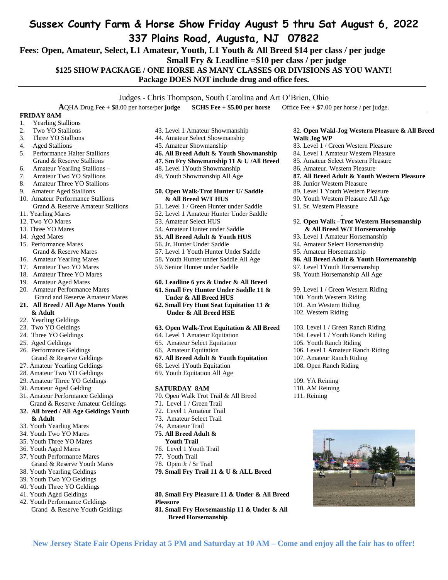# **Sussex County Farm & Horse Show Friday August 5 thru Sat August 6, 2022 337 Plains Road, Augusta, NJ 07822**

**Fees: Open, Amateur, Select, L1 Amateur, Youth, L1 Youth & All Breed \$14 per class / per judge**

 **Small Fry & Leadline =\$10 per class / per judge** 

**\$125 SHOW PACKAGE / ONE HORSE AS MANY CLASSES OR DIVISIONS AS YOU WANT!**

**Package DOES NOT include drug and office fees.**

Judges - Chris Thompson, South Carolina and Art O'Brien, Ohio

**A**QHA Drug Fee + \$8.00 per horse/per **judge SCHS Fee + \$5.00 per horse** Office Fee + \$7.00 per horse / per judge.

- **FRIDAY 8AM**
- 1. Yearling Stallions<br>2. Two YO Stallions
- Two YO Stallions
- 3. Three YO Stallions
- 4. Aged Stallions
- 5. Performance Halter Stallions Grand & Reserve Stallions
- 6. Amateur Yearling Stallions –
- 7. Amateur Two YO Stallions
- 8. Amateur Three YO Stallions
- 9. Amateur Aged Stallions
- 10. Amateur Performance Stallions Grand & Reserve Amateur Stallions
- 11. Yearling Mares
- 12. Two YO Mares
- 13. Three YO Mares
- 14. Aged Mares
- 15. Performance Mares
- Grand & Reserve Mares
- 16. Amateur Yearling Mares
- 17. Amateur Two YO Mares
- 18. Amateur Three YO Mares
- 19. Amateur Aged Mares
- 20. Amateur Performance Mares Grand and Reserve Amateur Mares
- **21. All Breed / All Age Mares Youth & Adult**
- 22. Yearling Geldings
- 23. Two YO Geldings
- 24. Three YO Geldings
- 25. Aged Geldings
- 26. Performance Geldings Grand & Reserve Geldings
- 27. Amateur Yearling Geldings
- 28. Amateur Two YO Geldings
- 29. Amateur Three YO Geldings
- 30. Amateur Aged Gelding
- 31. Amateur Performance Geldings Grand & Reserve Amateur Geldings
- **32. All breed / All Age Geldings Youth & Adult**
- 33. Youth Yearling Mares
- 34. Youth Two YO Mares
- 35. Youth Three YO Mares
- 36. Youth Aged Mares
- 37. Youth Performance Mares Grand & Reserve Youth Mares
- 38. Youth Yearling Geldings
- 39. Youth Two YO Geldings
- 40. Youth Three YO Geldings
- 41. Youth Aged Geldings
- 42. Youth Performance Geldings Grand & Reserve Youth Geldings
- 43. Level 1 Amateur Showmanship
- 44. Amateur Select Showmanship
- 45. Amateur Showmanship

#### **46. All Breed Adult & Youth Showmanship 47. Sm Fry Showmanship 11 & U /All Breed**

- 48. Level 1Youth Showmanship
- 49. Youth Showmanship All Age
- **50. Open Walk-Trot Hunter U/ Saddle & All Breed W/T HUS**
- 51. Level 1 / Green Hunter under Saddle
- 52. Level 1 Amateur Hunter Under Saddle
- 53. Amateur Select HUS
- 54. Amateur Hunter under Saddle
- **55. All Breed Adult & Youth HUS**
- 56. Jr. Hunter Under Saddle
- 57. Level 1 Youth Hunter Under Saddle
- 58**.** Youth Hunter under Saddle All Age
- 59. Senior Hunter under Saddle

### **60. Leadline 6 yrs & Under & All Breed**

- **61. Small Fry Hunter Under Saddle 11 & Under & All Breed HUS**
- **62. Small Fry Hunt Seat Equitation 11 & Under & All Breed HSE**

### **63. Open Walk-Trot Equitation & All Breed**

- 64. Level 1 Amateur Equitation
- 65. Amateur Select Equitation
- 66. Amateur Equitation
- **67. All Breed Adult & Youth Equitation**
- 68. Level 1Youth Equitation
- 69. Youth Equitation All Age

### **SATURDAY 8AM**

- 70. Open Walk Trot Trail & All Breed
- 71. Level 1 / Green Trail
- 72. Level 1 Amateur Trail
- 73. Amateur Select Trail
- 74. Amateur Trail
- **75. All Breed Adult &**
- **Youth Trail**
- 76. Level 1 Youth Trail
- 77. Youth Trail
- 78. Open Jr / Sr Trail
- **79. Small Fry Trail 11 & U & ALL Breed**

**80. Small Fry Pleasure 11 & Under & All Breed Pleasure**

**81. Small Fry Horsemanship 11 & Under & All Breed Horsemanship**

**New Jersey State Fair Opens Friday at 5 PM and Saturday at 10 AM – Come and enjoy all the fair has to offer!**

### 82. **Open Wakl-Jog Western Pleasure & All Breed Walk Jog WP**

- 83. Level 1 / Green Western Pleasure
- 84. Level 1 Amateur Western Pleasure
- 85. Amateur Select Western Pleasure
- 86. Amateur. Western Pleasure
- **87. All Breed Adult & Youth Western Pleasure**

92. **Open Walk –Trot Western Horsemanship & All Breed W/T Horsemanship** 93. Level 1 Amateur Horsemanship 94. Amateur Select Horsemanship 95. Amateur Horsemanship

**96. All Breed Adult & Youth Horsemanship**

- 88. Junior Western Pleasure
- 89. Level 1 Youth Western Pleasure
- 90. Youth Western Pleasure All Age 91. Sr. Western Pleasure

97. Level 1Youth Horsemanship 98. Youth Horsemanship All Age

99. Level 1 / Green Western Riding 100. Youth Western Riding 101. Am Western Riding 102. Western Riding

103. Level 1 / Green Ranch Riding 104. Level 1 / Youth Ranch Riding

106. Level 1 Amateur Ranch Riding 107. Amateur Ranch Riding 108. Open Ranch Riding

105. Youth Ranch Riding

109. YA Reining 110. AM Reining 111. Reining

.